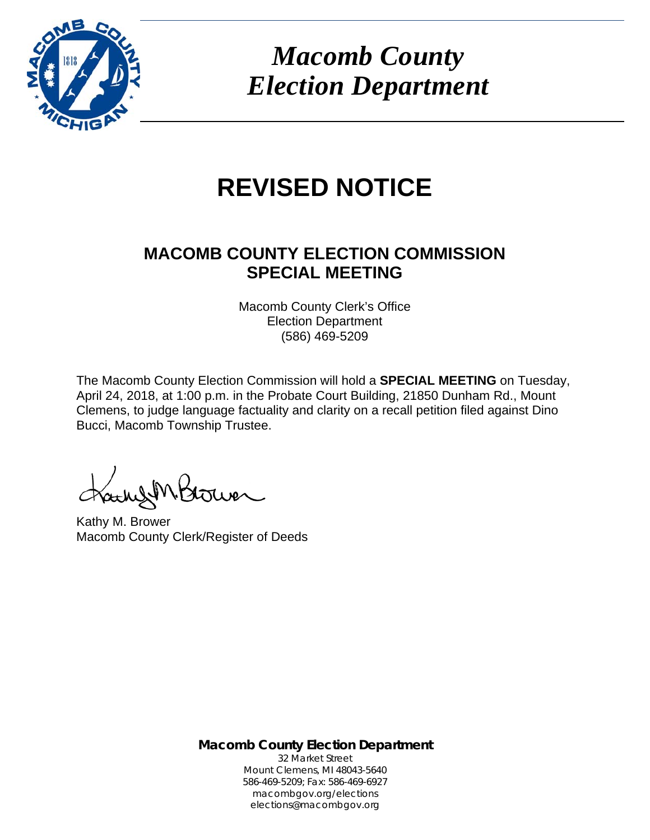

 *Macomb County Election Department* 

# **REVISED NOTICE**

# **MACOMB COUNTY ELECTION COMMISSION SPECIAL MEETING**

Macomb County Clerk's Office Election Department (586) 469-5209

The Macomb County Election Commission will hold a **SPECIAL MEETING** on Tuesday, April 24, 2018, at 1:00 p.m. in the Probate Court Building, 21850 Dunham Rd., Mount Clemens, to judge language factuality and clarity on a recall petition filed against Dino Bucci, Macomb Township Trustee.

Kathy M. Brower Macomb County Clerk/Register of Deeds

**Macomb County Election Department**

32 Market Street Mount Clemens, MI 48043-5640 586-469-5209; Fax: 586-469-6927 macombgov.org/elections elections@macombgov.org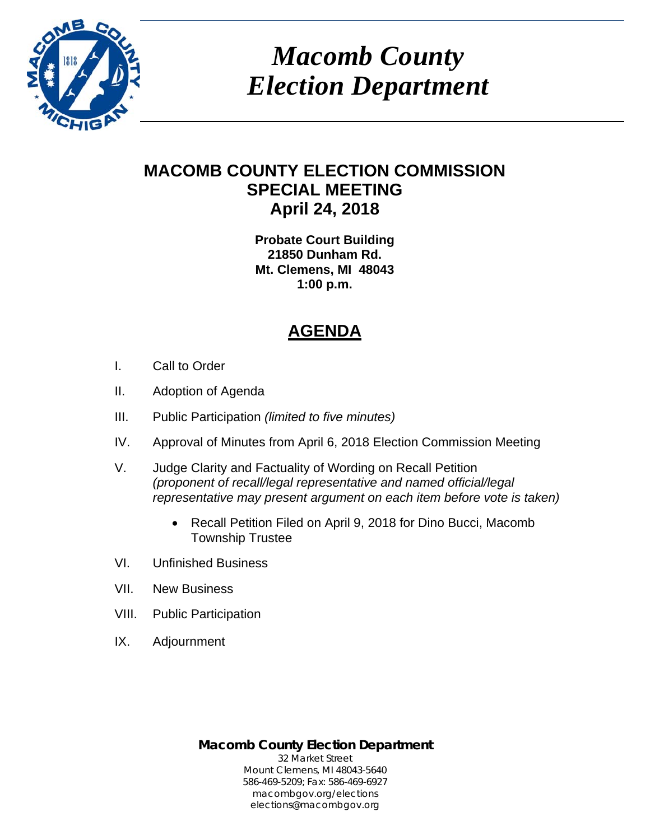

 *Macomb County Election Department* 

## **MACOMB COUNTY ELECTION COMMISSION SPECIAL MEETING April 24, 2018**

**Probate Court Building 21850 Dunham Rd. Mt. Clemens, MI 48043 1:00 p.m.** 

# **AGENDA**

- I. Call to Order
- II. Adoption of Agenda
- III. Public Participation *(limited to five minutes)*
- IV. Approval of Minutes from April 6, 2018 Election Commission Meeting
- V. Judge Clarity and Factuality of Wording on Recall Petition *(proponent of recall/legal representative and named official/legal representative may present argument on each item before vote is taken)*
	- Recall Petition Filed on April 9, 2018 for Dino Bucci, Macomb Township Trustee
- VI. Unfinished Business
- VII. New Business
- VIII. Public Participation
- IX. Adjournment

**Macomb County Election Department** 32 Market Street Mount Clemens, MI 48043-5640 586-469-5209; Fax: 586-469-6927 macombgov.org/elections elections@macombgov.org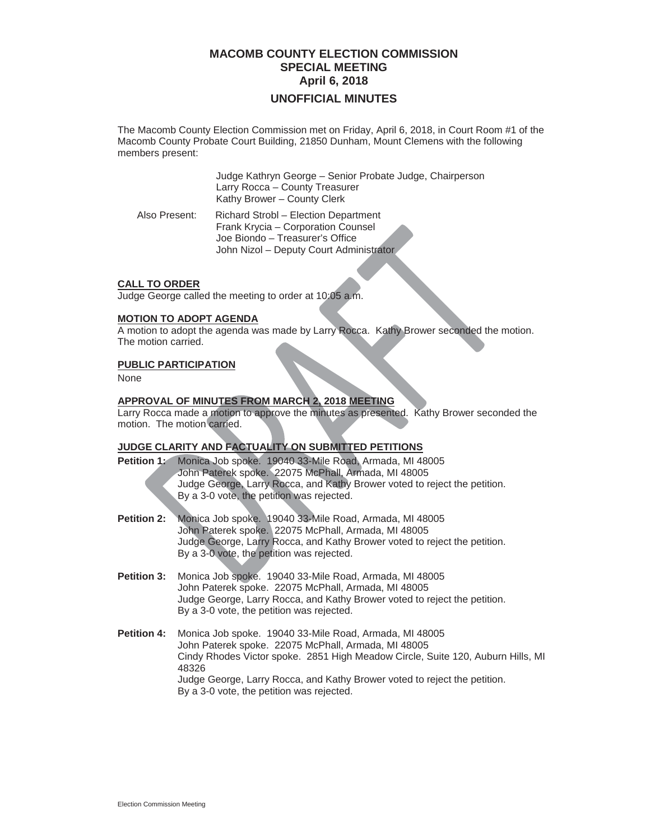### **MACOMB COUNTY ELECTION COMMISSION SPECIAL MEETING April 6, 2018**

#### **UNOFFICIAL MINUTES**

The Macomb County Election Commission met on Friday, April 6, 2018, in Court Room #1 of the Macomb County Probate Court Building, 21850 Dunham, Mount Clemens with the following members present:

> Judge Kathryn George – Senior Probate Judge, Chairperson Larry Rocca – County Treasurer Kathy Brower – County Clerk

 Also Present: Richard Strobl – Election Department Frank Krycia – Corporation Counsel Joe Biondo – Treasurer's Office John Nizol – Deputy Court Administrator

#### **CALL TO ORDER**

Judge George called the meeting to order at 10:05 a.m.

#### **MOTION TO ADOPT AGENDA**

A motion to adopt the agenda was made by Larry Rocca. Kathy Brower seconded the motion. The motion carried.

#### **PUBLIC PARTICIPATION**

None

#### **APPROVAL OF MINUTES FROM MARCH 2, 2018 MEETING**

Larry Rocca made a motion to approve the minutes as presented. Kathy Brower seconded the motion. The motion carried.

#### **JUDGE CLARITY AND FACTUALITY ON SUBMITTED PETITIONS**

- **Petition 1:** Monica Job spoke. 19040 33-Mile Road, Armada, MI 48005 John Paterek spoke. 22075 McPhall, Armada, MI 48005 Judge George, Larry Rocca, and Kathy Brower voted to reject the petition. By a 3-0 vote, the petition was rejected.
- **Petition 2:** Monica Job spoke. 19040 33-Mile Road, Armada, MI 48005 John Paterek spoke. 22075 McPhall, Armada, MI 48005 Judge George, Larry Rocca, and Kathy Brower voted to reject the petition. By a 3-0 vote, the petition was rejected.
- **Petition 3:** Monica Job spoke. 19040 33-Mile Road, Armada, MI 48005 John Paterek spoke. 22075 McPhall, Armada, MI 48005 Judge George, Larry Rocca, and Kathy Brower voted to reject the petition. By a 3-0 vote, the petition was rejected.
- **Petition 4:** Monica Job spoke. 19040 33-Mile Road, Armada, MI 48005 John Paterek spoke. 22075 McPhall, Armada, MI 48005 Cindy Rhodes Victor spoke. 2851 High Meadow Circle, Suite 120, Auburn Hills, MI 48326 Judge George, Larry Rocca, and Kathy Brower voted to reject the petition. By a 3-0 vote, the petition was rejected.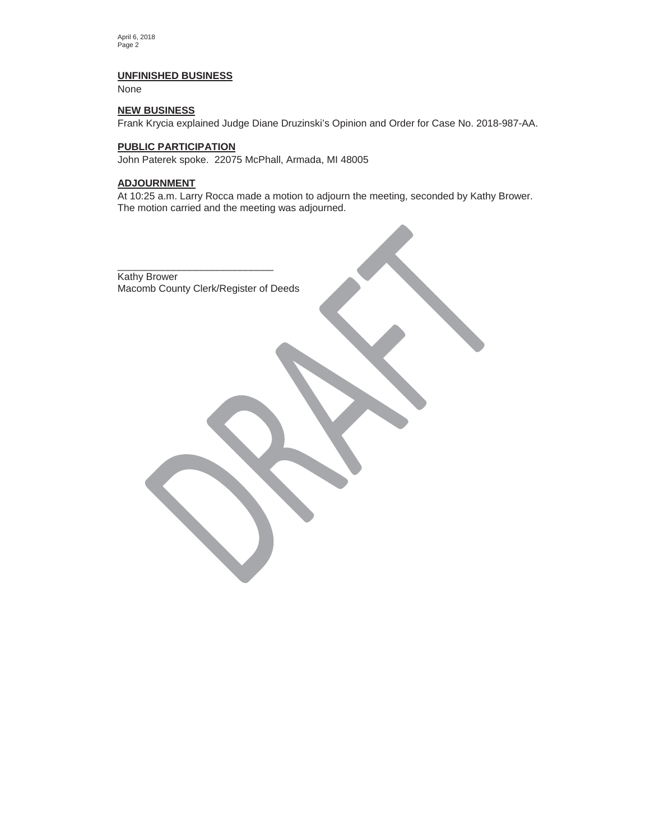April 6, 2018 Page 2

#### **UNFINISHED BUSINESS**

None

#### **NEW BUSINESS**

Frank Krycia explained Judge Diane Druzinski's Opinion and Order for Case No. 2018-987-AA.

#### **PUBLIC PARTICIPATION**

John Paterek spoke. 22075 McPhall, Armada, MI 48005

#### **ADJOURNMENT**

At 10:25 a.m. Larry Rocca made a motion to adjourn the meeting, seconded by Kathy Brower. The motion carried and the meeting was adjourned.

Kathy Brower Macomb County Clerk/Register of Deeds

\_\_\_\_\_\_\_\_\_\_\_\_\_\_\_\_\_\_\_\_\_\_\_\_\_\_\_\_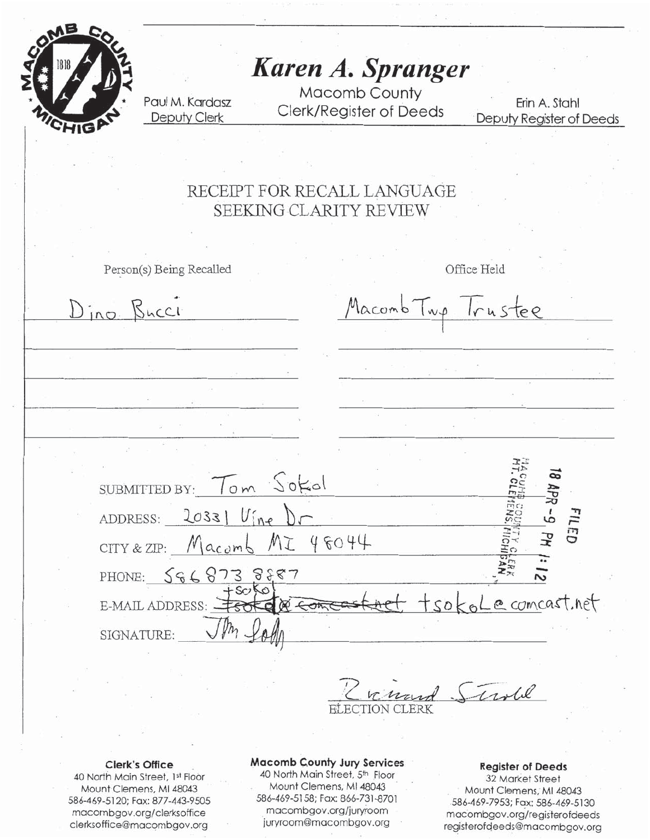

# Karen A. Spranger

Paul M. Kardasz **Deputy Clerk** 

Macomb County **Clerk/Register of Deeds** 

Erin A. Stahl Deputy Register of Deeds

## RECEIPT FOR RECALL LANGUAGE SEEKING CLARITY REVIEW

Person(s) Being Recalled

Office Held

Dino Bucci Macomb Irustee SUBMITTED BY: Tom Sokol  $20331$   $V_{ine}$   $Dr$ ADDRESS: <sup>FILED</sup>  $CITY & ZIP: Macamb$ 48044 MI PHONE:  $566873$  $8887$ tsokoLe concast.net E-MAIL ADDRESS: @ force SIGNATURE:

inde

**Clerk's Office** 

40 North Main Street, 1st Floor Mount Clemens, MI 48043 586-469-5120; Fax: 877-443-9505 macombgov.org/clerksoffice clerksoffice@macombgov.org

**Macomb County Jury Services** 40 North Main Street, 5th Floor Mount Clemens, MI 48043 586-469-5158; Fax: 866-731-8701 macombgov.org/juryroom juryroom@macombgov.org

**Register of Deeds** 32 Market Street

Mount Clemens, MI 48043 586-469-7953; Fax: 586-469-5130 macombgov.org/registerofdeeds registerofdeeds@macombgov.org